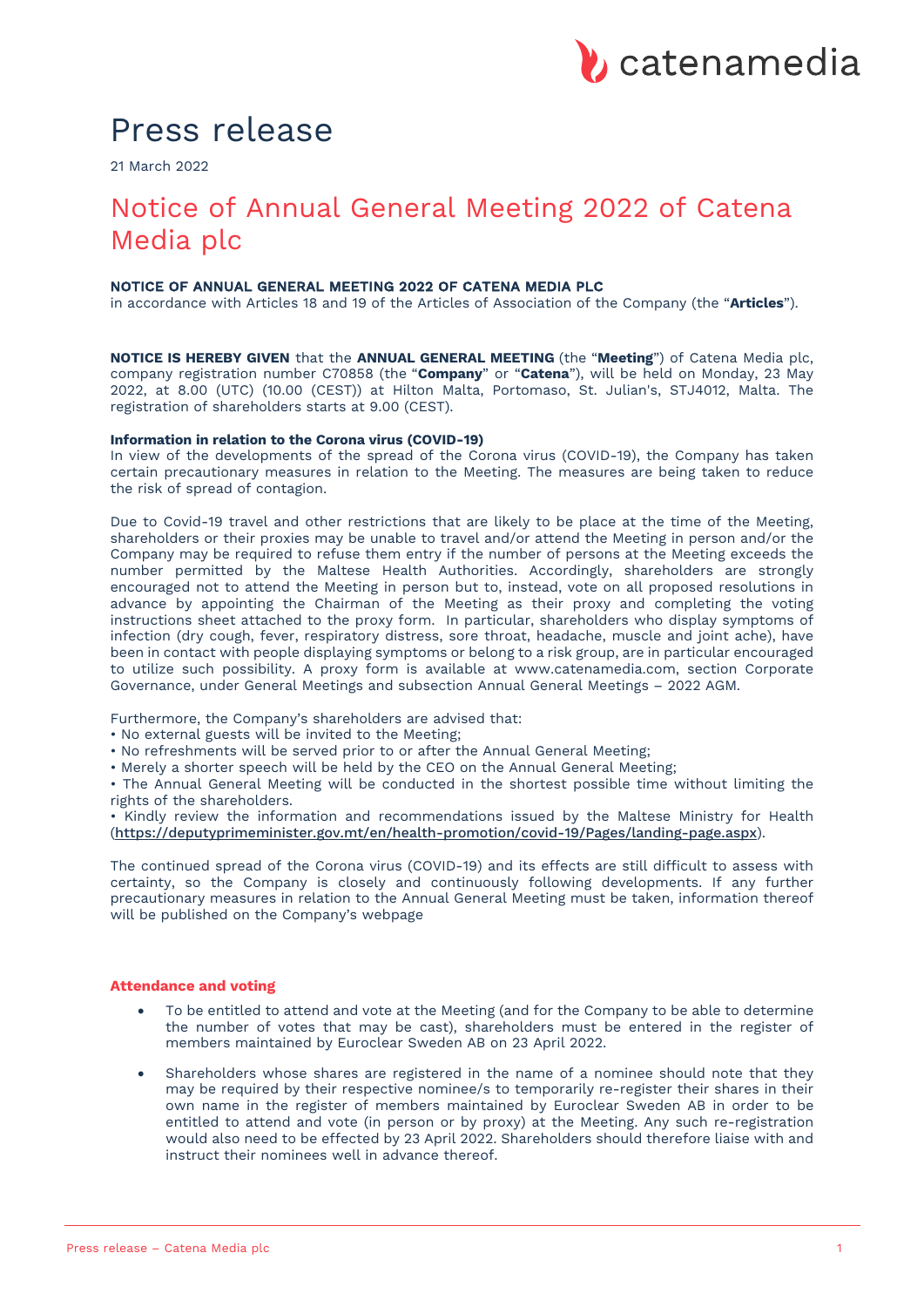# Press release

21 March 2022

## Notice of Annual General Meeting 2022 of Catena Media plc

## NOTICE OF ANNUAL GENERAL MEETING 2022 OF CATENA MEDIA PLC

in accordance with Articles 18 and 19 of the Articles of Association of the Company (the "**Articles**").

**NOTICE IS HEREBY GIVEN** that the **ANNUAL GENERAL MEETING** (the "**Meeting**") of Catena Media plc, company registration number C70858 (the "**Company**" or "**Catena**"), will be held on Monday, 23 May 2022, at 8.00 (UTC) (10.00 (CEST)) at Hilton Malta, Portomaso, St. Julian's, STJ4012, Malta. The registration of shareholders starts at 9.00 (CEST).

#### **Information in relation to the Corona virus (COVID-19)**

In view of the developments of the spread of the Corona virus (COVID-19), the Company has taken certain precautionary measures in relation to the Meeting. The measures are being taken to reduce the risk of spread of contagion.

Due to Covid-19 travel and other restrictions that are likely to be place at the time of the Meeting, shareholders or their proxies may be unable to travel and/or attend the Meeting in person and/or the Company may be required to refuse them entry if the number of persons at the Meeting exceeds the number permitted by the Maltese Health Authorities. Accordingly, shareholders are strongly encouraged not to attend the Meeting in person but to, instead, vote on all proposed resolutions in advance by appointing the Chairman of the Meeting as their proxy and completing the voting instructions sheet attached to the proxy form. In particular, shareholders who display symptoms of infection (dry cough, fever, respiratory distress, sore throat, headache, muscle and joint ache), have been in contact with people displaying symptoms or belong to a risk group, are in particular encouraged to utilize such possibility. A proxy form is available at www.catenamedia.com, section Corporate Governance, under General Meetings and subsection Annual General Meetings – 2022 AGM.

Furthermore, the Company's shareholders are advised that:

- No external guests will be invited to the Meeting;
- No refreshments will be served prior to or after the Annual General Meeting;
- Merely a shorter speech will be held by the CEO on the Annual General Meeting;

• The Annual General Meeting will be conducted in the shortest possible time without limiting the rights of the shareholders.

• Kindly review the information and recommendations issued by the Maltese Ministry for Health (https://deputyprimeminister.gov.mt/en/health-promotion/covid-19/Pages/landing-page.aspx).

The continued spread of the Corona virus (COVID-19) and its effects are still difficult to assess with certainty, so the Company is closely and continuously following developments. If any further precautionary measures in relation to the Annual General Meeting must be taken, information thereof will be published on the Company's webpage

#### **Attendance and voting**

- To be entitled to attend and vote at the Meeting (and for the Company to be able to determine the number of votes that may be cast), shareholders must be entered in the register of members maintained by Euroclear Sweden AB on 23 April 2022.
- Shareholders whose shares are registered in the name of a nominee should note that they may be required by their respective nominee/s to temporarily re-register their shares in their own name in the register of members maintained by Euroclear Sweden AB in order to be entitled to attend and vote (in person or by proxy) at the Meeting. Any such re-registration would also need to be effected by 23 April 2022. Shareholders should therefore liaise with and instruct their nominees well in advance thereof.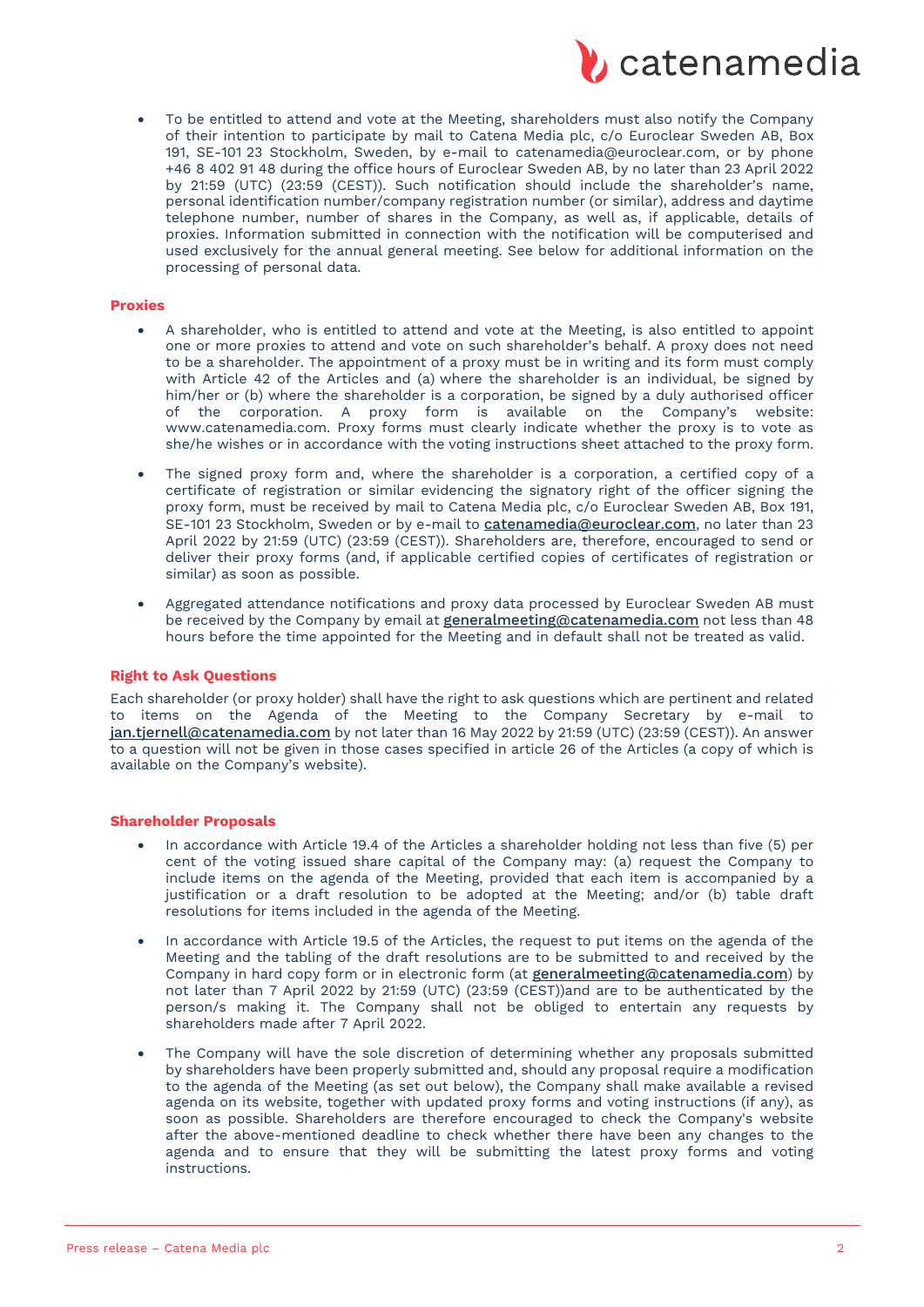

• To be entitled to attend and vote at the Meeting, shareholders must also notify the Company of their intention to participate by mail to Catena Media plc, c/o Euroclear Sweden AB, Box 191, SE-101 23 Stockholm, Sweden, by e-mail to catenamedia@euroclear.com, or by phone +46 8 402 91 48 during the office hours of Euroclear Sweden AB, by no later than 23 April 2022 by 21:59 (UTC) (23:59 (CEST)). Such notification should include the shareholder's name, personal identification number/company registration number (or similar), address and daytime telephone number, number of shares in the Company, as well as, if applicable, details of proxies. Information submitted in connection with the notification will be computerised and used exclusively for the annual general meeting. See below for additional information on the processing of personal data.

#### **Proxies**

- A shareholder, who is entitled to attend and vote at the Meeting, is also entitled to appoint one or more proxies to attend and vote on such shareholder's behalf. A proxy does not need to be a shareholder. The appointment of a proxy must be in writing and its form must comply with Article 42 of the Articles and (a) where the shareholder is an individual, be signed by him/her or (b) where the shareholder is a corporation, be signed by a duly authorised officer of the corporation. A proxy form is available on the Company's website: www.catenamedia.com. Proxy forms must clearly indicate whether the proxy is to vote as she/he wishes or in accordance with the voting instructions sheet attached to the proxy form.
- The signed proxy form and, where the shareholder is a corporation, a certified copy of a certificate of registration or similar evidencing the signatory right of the officer signing the proxy form, must be received by mail to Catena Media plc, c/o Euroclear Sweden AB, Box 191, SE-101 23 Stockholm, Sweden or by e-mail to catenamedia@euroclear.com, no later than 23 April 2022 by 21:59 (UTC) (23:59 (CEST)). Shareholders are, therefore, encouraged to send or deliver their proxy forms (and, if applicable certified copies of certificates of registration or similar) as soon as possible.
- Aggregated attendance notifications and proxy data processed by Euroclear Sweden AB must be received by the Company by email at *generalmeeting@catenamedia.com* not less than 48 hours before the time appointed for the Meeting and in default shall not be treated as valid.

## **Right to Ask Questions**

Each shareholder (or proxy holder) shall have the right to ask questions which are pertinent and related to items on the Agenda of the Meeting to the Company Secretary by e-mail to jan.tjernell@catenamedia.com by not later than 16 May 2022 by 21:59 (UTC) (23:59 (CEST)). An answer to a question will not be given in those cases specified in article 26 of the Articles (a copy of which is available on the Company's website).

#### **Shareholder Proposals**

- In accordance with Article 19.4 of the Articles a shareholder holding not less than five (5) per cent of the voting issued share capital of the Company may: (a) request the Company to include items on the agenda of the Meeting, provided that each item is accompanied by a justification or a draft resolution to be adopted at the Meeting; and/or (b) table draft resolutions for items included in the agenda of the Meeting.
- In accordance with Article 19.5 of the Articles, the request to put items on the agenda of the Meeting and the tabling of the draft resolutions are to be submitted to and received by the Company in hard copy form or in electronic form (at generalmeeting@catenamedia.com) by not later than 7 April 2022 by 21:59 (UTC) (23:59 (CEST))and are to be authenticated by the person/s making it. The Company shall not be obliged to entertain any requests by shareholders made after 7 April 2022.
- The Company will have the sole discretion of determining whether any proposals submitted by shareholders have been properly submitted and, should any proposal require a modification to the agenda of the Meeting (as set out below), the Company shall make available a revised agenda on its website, together with updated proxy forms and voting instructions (if any), as soon as possible. Shareholders are therefore encouraged to check the Company's website after the above-mentioned deadline to check whether there have been any changes to the agenda and to ensure that they will be submitting the latest proxy forms and voting instructions.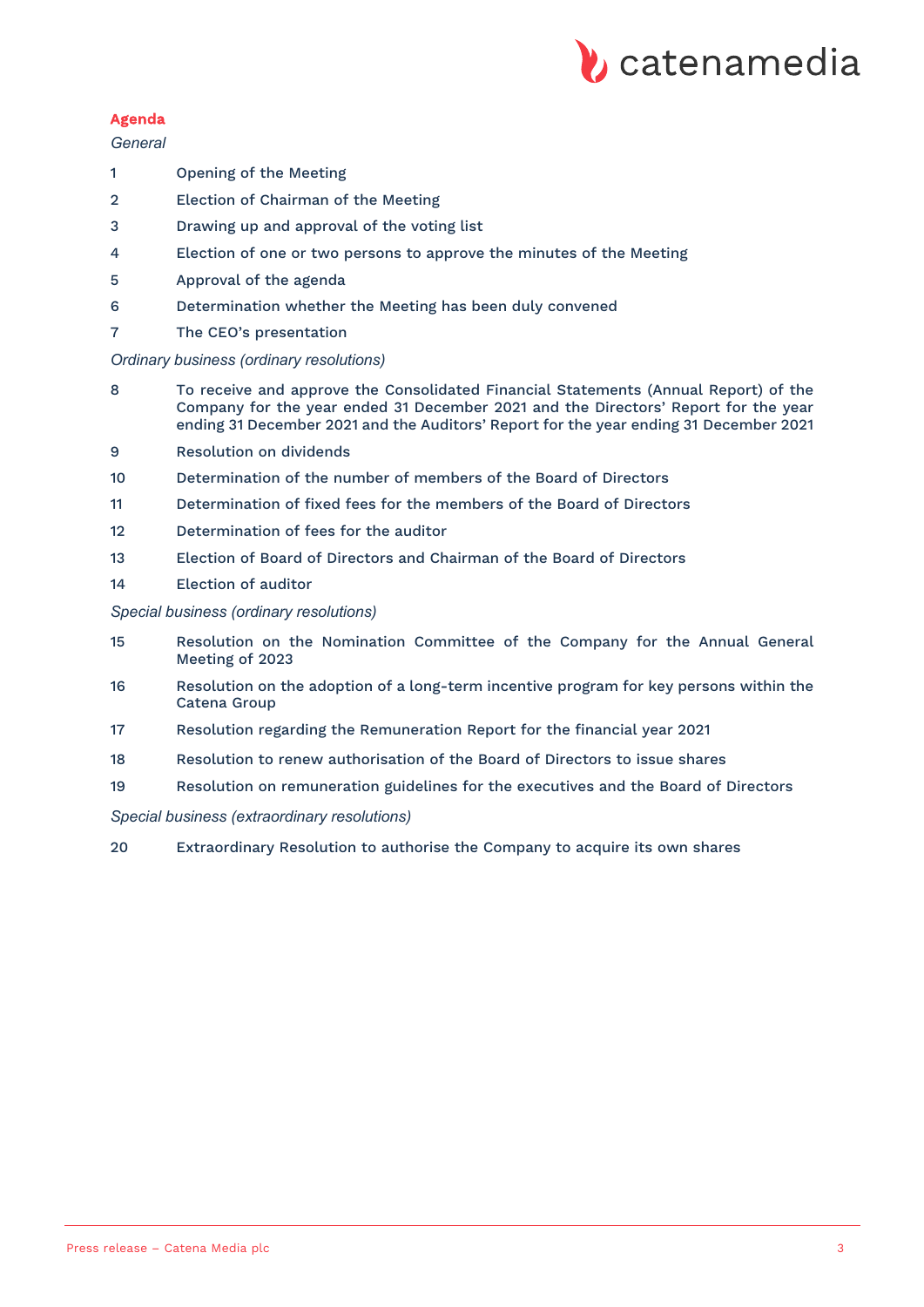

## Agenda

## *General*

- Opening of the Meeting
- Election of Chairman of the Meeting
- Drawing up and approval of the voting list
- Election of one or two persons to approve the minutes of the Meeting
- Approval of the agenda
- Determination whether the Meeting has been duly convened
- The CEO's presentation

## *Ordinary business (ordinary resolutions)*

- To receive and approve the Consolidated Financial Statements (Annual Report) of the Company for the year ended 31 December 2021 and the Directors' Report for the year ending 31 December 2021 and the Auditors' Report for the year ending 31 December 2021
- Resolution on dividends
- Determination of the number of members of the Board of Directors
- Determination of fixed fees for the members of the Board of Directors
- Determination of fees for the auditor
- Election of Board of Directors and Chairman of the Board of Directors
- Election of auditor

## *Special business (ordinary resolutions)*

- Resolution on the Nomination Committee of the Company for the Annual General Meeting of 2023
- Resolution on the adoption of a long-term incentive program for key persons within the Catena Group
- Resolution regarding the Remuneration Report for the financial year 2021
- Resolution to renew authorisation of the Board of Directors to issue shares
- Resolution on remuneration guidelines for the executives and the Board of Directors

## *Special business (extraordinary resolutions)*

Extraordinary Resolution to authorise the Company to acquire its own shares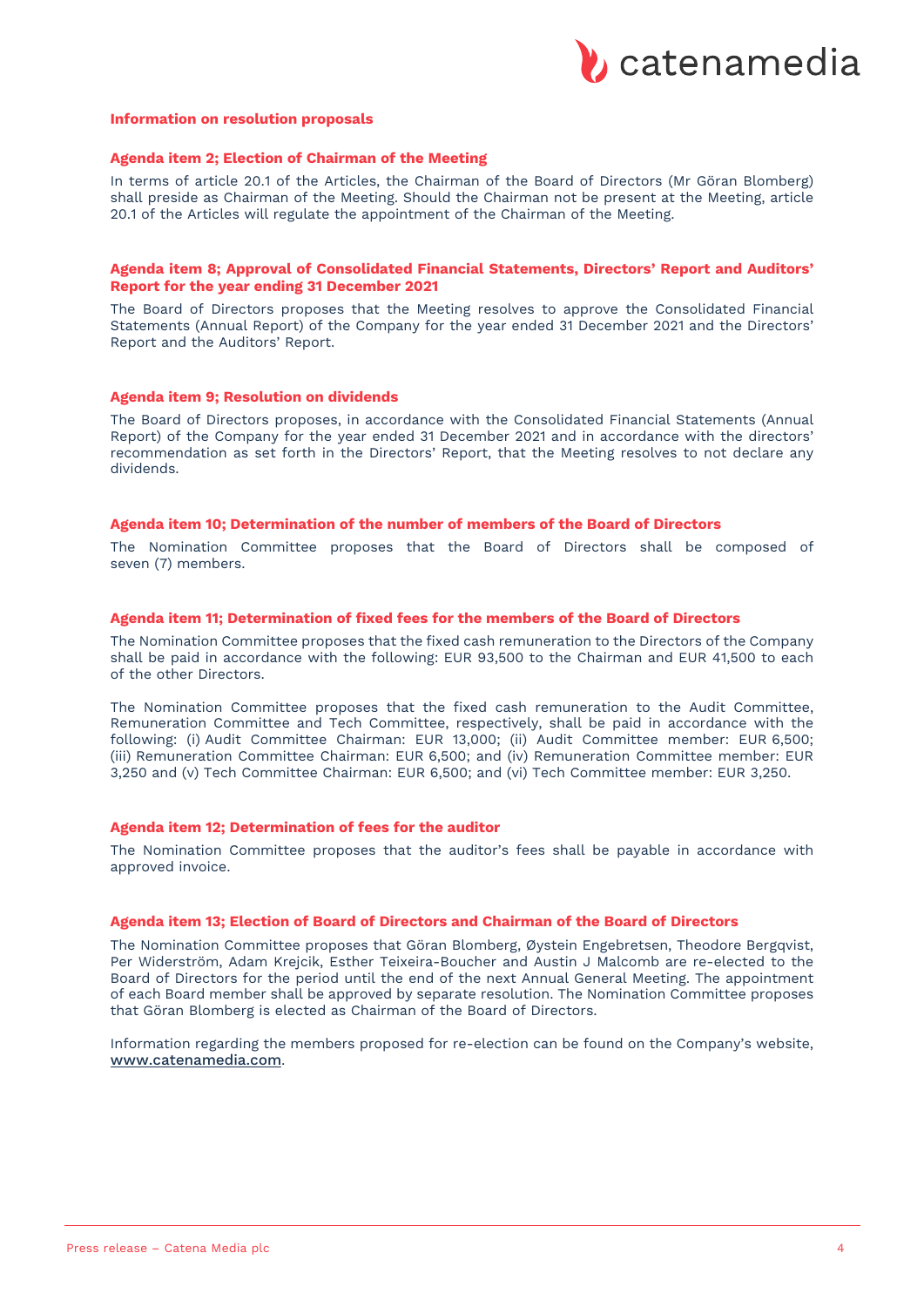

#### **Information on resolution proposals**

#### **Agenda item 2; Election of Chairman of the Meeting**

In terms of article 20.1 of the Articles, the Chairman of the Board of Directors (Mr Göran Blomberg) shall preside as Chairman of the Meeting. Should the Chairman not be present at the Meeting, article 20.1 of the Articles will regulate the appointment of the Chairman of the Meeting.

#### **Agenda item 8; Approval of Consolidated Financial Statements, Directors' Report and Auditors' Report for the year ending 31 December 2021**

The Board of Directors proposes that the Meeting resolves to approve the Consolidated Financial Statements (Annual Report) of the Company for the year ended 31 December 2021 and the Directors' Report and the Auditors' Report.

#### **Agenda item 9; Resolution on dividends**

The Board of Directors proposes, in accordance with the Consolidated Financial Statements (Annual Report) of the Company for the year ended 31 December 2021 and in accordance with the directors' recommendation as set forth in the Directors' Report, that the Meeting resolves to not declare any dividends.

#### **Agenda item 10; Determination of the number of members of the Board of Directors**

The Nomination Committee proposes that the Board of Directors shall be composed of seven (7) members.

## **Agenda item 11; Determination of fixed fees for the members of the Board of Directors**

The Nomination Committee proposes that the fixed cash remuneration to the Directors of the Company shall be paid in accordance with the following: EUR 93,500 to the Chairman and EUR 41,500 to each of the other Directors.

The Nomination Committee proposes that the fixed cash remuneration to the Audit Committee, Remuneration Committee and Tech Committee, respectively, shall be paid in accordance with the following: (i) Audit Committee Chairman: EUR 13,000; (ii) Audit Committee member: EUR 6,500; (iii) Remuneration Committee Chairman: EUR 6,500; and (iv) Remuneration Committee member: EUR 3,250 and (v) Tech Committee Chairman: EUR 6,500; and (vi) Tech Committee member: EUR 3,250.

#### **Agenda item 12; Determination of fees for the auditor**

The Nomination Committee proposes that the auditor's fees shall be payable in accordance with approved invoice.

#### **Agenda item 13; Election of Board of Directors and Chairman of the Board of Directors**

The Nomination Committee proposes that Göran Blomberg, Øystein Engebretsen, Theodore Bergqvist, Per Widerström, Adam Krejcik, Esther Teixeira-Boucher and Austin J Malcomb are re-elected to the Board of Directors for the period until the end of the next Annual General Meeting. The appointment of each Board member shall be approved by separate resolution. The Nomination Committee proposes that Göran Blomberg is elected as Chairman of the Board of Directors.

Information regarding the members proposed for re-election can be found on the Company's website, www.catenamedia.com.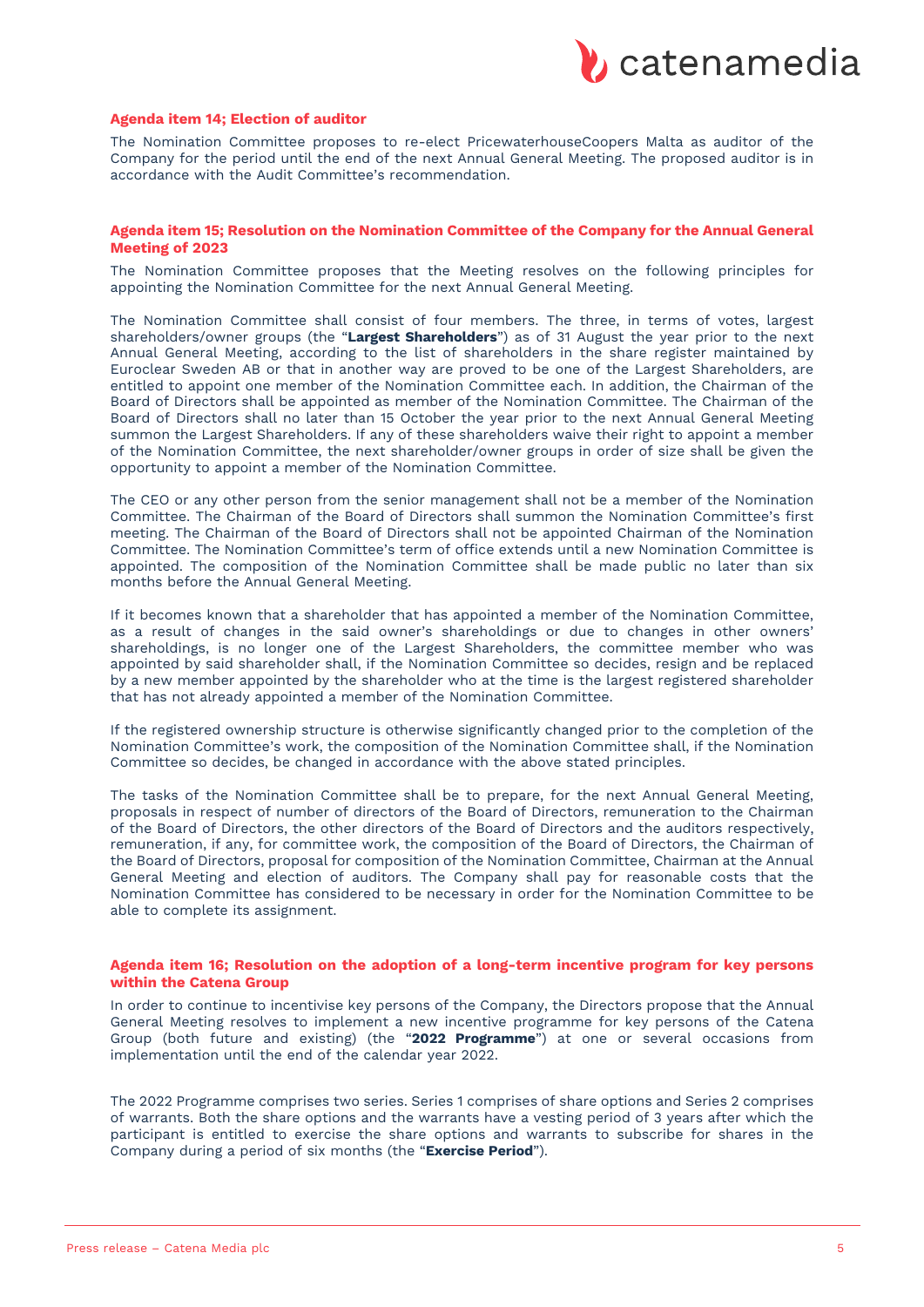

#### **Agenda item 14; Election of auditor**

The Nomination Committee proposes to re-elect PricewaterhouseCoopers Malta as auditor of the Company for the period until the end of the next Annual General Meeting. The proposed auditor is in accordance with the Audit Committee's recommendation.

#### **Agenda item 15; Resolution on the Nomination Committee of the Company for the Annual General Meeting of 2023**

The Nomination Committee proposes that the Meeting resolves on the following principles for appointing the Nomination Committee for the next Annual General Meeting.

The Nomination Committee shall consist of four members. The three, in terms of votes, largest shareholders/owner groups (the "**Largest Shareholders**") as of 31 August the year prior to the next Annual General Meeting, according to the list of shareholders in the share register maintained by Euroclear Sweden AB or that in another way are proved to be one of the Largest Shareholders, are entitled to appoint one member of the Nomination Committee each. In addition, the Chairman of the Board of Directors shall be appointed as member of the Nomination Committee. The Chairman of the Board of Directors shall no later than 15 October the year prior to the next Annual General Meeting summon the Largest Shareholders. If any of these shareholders waive their right to appoint a member of the Nomination Committee, the next shareholder/owner groups in order of size shall be given the opportunity to appoint a member of the Nomination Committee.

The CEO or any other person from the senior management shall not be a member of the Nomination Committee. The Chairman of the Board of Directors shall summon the Nomination Committee's first meeting. The Chairman of the Board of Directors shall not be appointed Chairman of the Nomination Committee. The Nomination Committee's term of office extends until a new Nomination Committee is appointed. The composition of the Nomination Committee shall be made public no later than six months before the Annual General Meeting.

If it becomes known that a shareholder that has appointed a member of the Nomination Committee, as a result of changes in the said owner's shareholdings or due to changes in other owners' shareholdings, is no longer one of the Largest Shareholders, the committee member who was appointed by said shareholder shall, if the Nomination Committee so decides, resign and be replaced by a new member appointed by the shareholder who at the time is the largest registered shareholder that has not already appointed a member of the Nomination Committee.

If the registered ownership structure is otherwise significantly changed prior to the completion of the Nomination Committee's work, the composition of the Nomination Committee shall, if the Nomination Committee so decides, be changed in accordance with the above stated principles.

The tasks of the Nomination Committee shall be to prepare, for the next Annual General Meeting, proposals in respect of number of directors of the Board of Directors, remuneration to the Chairman of the Board of Directors, the other directors of the Board of Directors and the auditors respectively, remuneration, if any, for committee work, the composition of the Board of Directors, the Chairman of the Board of Directors, proposal for composition of the Nomination Committee, Chairman at the Annual General Meeting and election of auditors. The Company shall pay for reasonable costs that the Nomination Committee has considered to be necessary in order for the Nomination Committee to be able to complete its assignment.

#### **Agenda item 16; Resolution on the adoption of a long-term incentive program for key persons within the Catena Group**

In order to continue to incentivise key persons of the Company, the Directors propose that the Annual General Meeting resolves to implement a new incentive programme for key persons of the Catena Group (both future and existing) (the "**2022 Programme**") at one or several occasions from implementation until the end of the calendar year 2022.

The 2022 Programme comprises two series. Series 1 comprises of share options and Series 2 comprises of warrants. Both the share options and the warrants have a vesting period of 3 years after which the participant is entitled to exercise the share options and warrants to subscribe for shares in the Company during a period of six months (the "**Exercise Period**").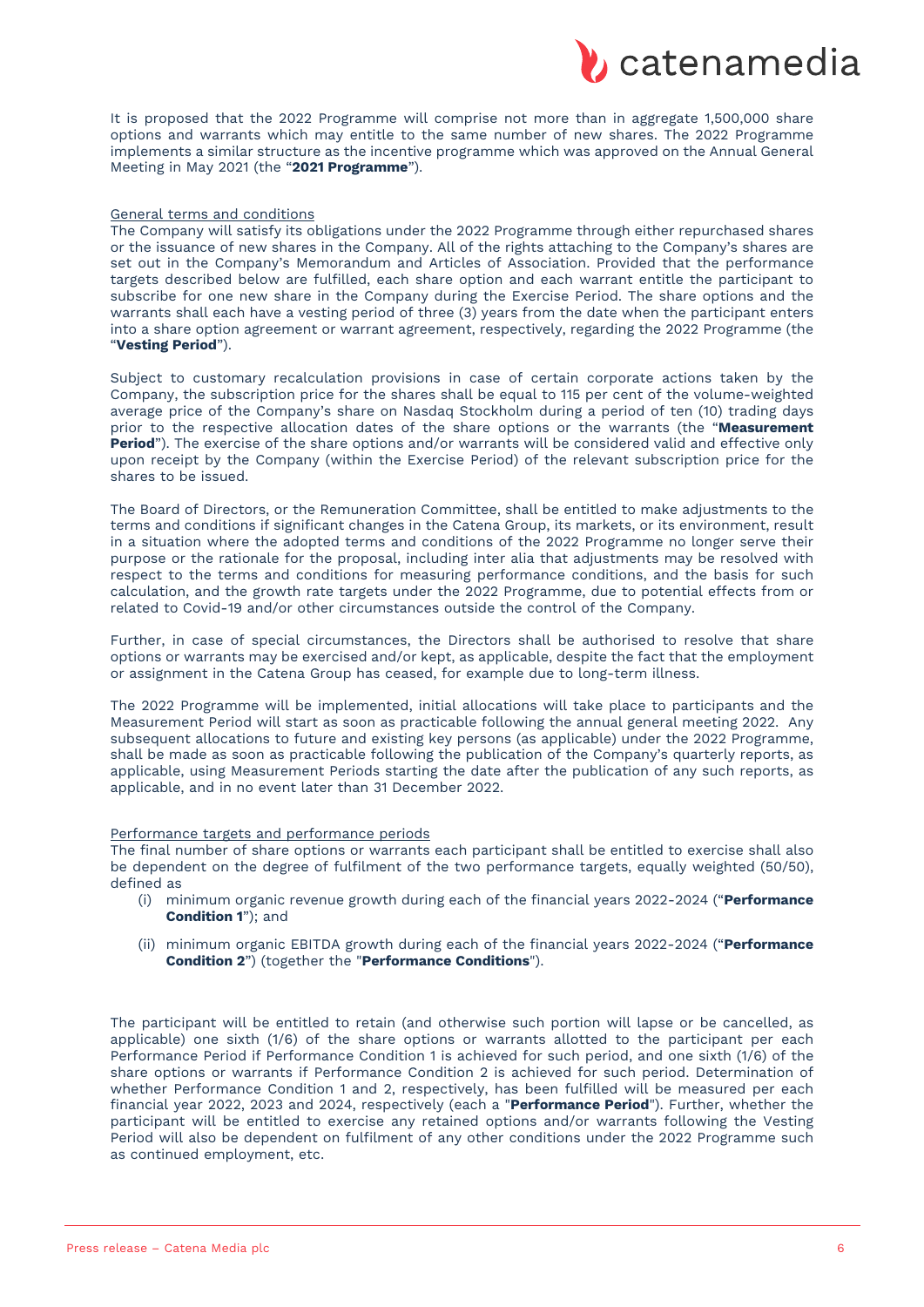

It is proposed that the 2022 Programme will comprise not more than in aggregate 1,500,000 share options and warrants which may entitle to the same number of new shares. The 2022 Programme implements a similar structure as the incentive programme which was approved on the Annual General Meeting in May 2021 (the "**2021 Programme**").

#### General terms and conditions

The Company will satisfy its obligations under the 2022 Programme through either repurchased shares or the issuance of new shares in the Company. All of the rights attaching to the Company's shares are set out in the Company's Memorandum and Articles of Association. Provided that the performance targets described below are fulfilled, each share option and each warrant entitle the participant to subscribe for one new share in the Company during the Exercise Period. The share options and the warrants shall each have a vesting period of three (3) years from the date when the participant enters into a share option agreement or warrant agreement, respectively, regarding the 2022 Programme (the "**Vesting Period**").

Subject to customary recalculation provisions in case of certain corporate actions taken by the Company, the subscription price for the shares shall be equal to 115 per cent of the volume-weighted average price of the Company's share on Nasdaq Stockholm during a period of ten (10) trading days prior to the respective allocation dates of the share options or the warrants (the "**Measurement Period**"). The exercise of the share options and/or warrants will be considered valid and effective only upon receipt by the Company (within the Exercise Period) of the relevant subscription price for the shares to be issued.

The Board of Directors, or the Remuneration Committee, shall be entitled to make adjustments to the terms and conditions if significant changes in the Catena Group, its markets, or its environment, result in a situation where the adopted terms and conditions of the 2022 Programme no longer serve their purpose or the rationale for the proposal, including inter alia that adjustments may be resolved with respect to the terms and conditions for measuring performance conditions, and the basis for such calculation, and the growth rate targets under the 2022 Programme, due to potential effects from or related to Covid-19 and/or other circumstances outside the control of the Company.

Further, in case of special circumstances, the Directors shall be authorised to resolve that share options or warrants may be exercised and/or kept, as applicable, despite the fact that the employment or assignment in the Catena Group has ceased, for example due to long-term illness.

The 2022 Programme will be implemented, initial allocations will take place to participants and the Measurement Period will start as soon as practicable following the annual general meeting 2022. Any subsequent allocations to future and existing key persons (as applicable) under the 2022 Programme, shall be made as soon as practicable following the publication of the Company's quarterly reports, as applicable, using Measurement Periods starting the date after the publication of any such reports, as applicable, and in no event later than 31 December 2022.

#### Performance targets and performance periods

The final number of share options or warrants each participant shall be entitled to exercise shall also be dependent on the degree of fulfilment of the two performance targets, equally weighted (50/50), defined as

- (i) minimum organic revenue growth during each of the financial years 2022-2024 ("**Performance Condition 1**"); and
- (ii) minimum organic EBITDA growth during each of the financial years 2022-2024 ("**Performance Condition 2**") (together the "**Performance Conditions**").

The participant will be entitled to retain (and otherwise such portion will lapse or be cancelled, as applicable) one sixth (1/6) of the share options or warrants allotted to the participant per each Performance Period if Performance Condition 1 is achieved for such period, and one sixth (1/6) of the share options or warrants if Performance Condition 2 is achieved for such period. Determination of whether Performance Condition 1 and 2, respectively, has been fulfilled will be measured per each financial year 2022, 2023 and 2024, respectively (each a "**Performance Period**"). Further, whether the participant will be entitled to exercise any retained options and/or warrants following the Vesting Period will also be dependent on fulfilment of any other conditions under the 2022 Programme such as continued employment, etc.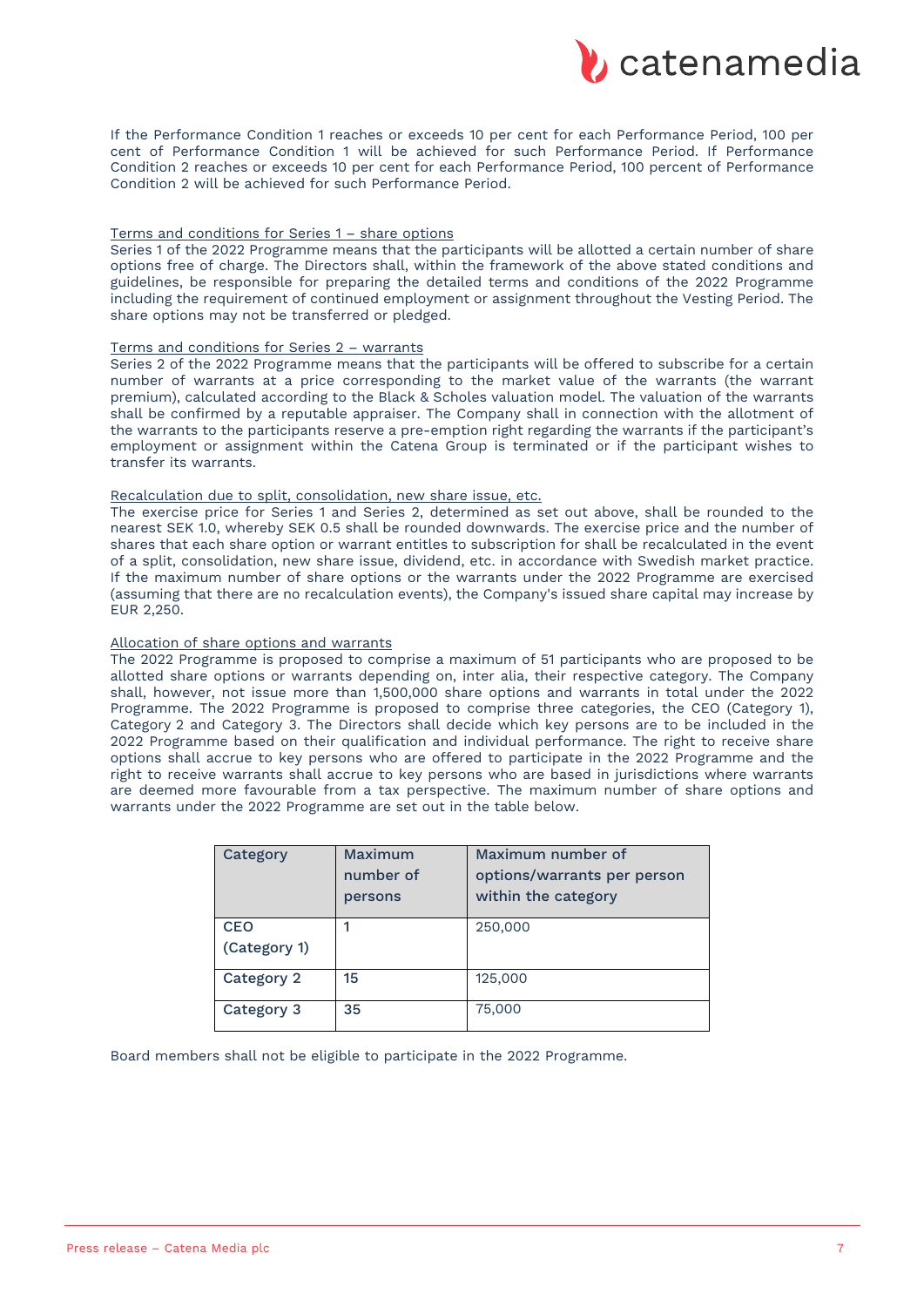

If the Performance Condition 1 reaches or exceeds 10 per cent for each Performance Period, 100 per cent of Performance Condition 1 will be achieved for such Performance Period. If Performance Condition 2 reaches or exceeds 10 per cent for each Performance Period, 100 percent of Performance Condition 2 will be achieved for such Performance Period.

#### Terms and conditions for Series 1 – share options

Series 1 of the 2022 Programme means that the participants will be allotted a certain number of share options free of charge. The Directors shall, within the framework of the above stated conditions and guidelines, be responsible for preparing the detailed terms and conditions of the 2022 Programme including the requirement of continued employment or assignment throughout the Vesting Period. The share options may not be transferred or pledged.

## Terms and conditions for Series 2 – warrants

Series 2 of the 2022 Programme means that the participants will be offered to subscribe for a certain number of warrants at a price corresponding to the market value of the warrants (the warrant premium), calculated according to the Black & Scholes valuation model. The valuation of the warrants shall be confirmed by a reputable appraiser. The Company shall in connection with the allotment of the warrants to the participants reserve a pre-emption right regarding the warrants if the participant's employment or assignment within the Catena Group is terminated or if the participant wishes to transfer its warrants.

#### Recalculation due to split, consolidation, new share issue, etc.

The exercise price for Series 1 and Series 2, determined as set out above, shall be rounded to the nearest SEK 1.0, whereby SEK 0.5 shall be rounded downwards. The exercise price and the number of shares that each share option or warrant entitles to subscription for shall be recalculated in the event of a split, consolidation, new share issue, dividend, etc. in accordance with Swedish market practice. If the maximum number of share options or the warrants under the 2022 Programme are exercised (assuming that there are no recalculation events), the Company's issued share capital may increase by EUR 2,250.

#### Allocation of share options and warrants

The 2022 Programme is proposed to comprise a maximum of 51 participants who are proposed to be allotted share options or warrants depending on, inter alia, their respective category. The Company shall, however, not issue more than 1,500,000 share options and warrants in total under the 2022 Programme. The 2022 Programme is proposed to comprise three categories, the CEO (Category 1), Category 2 and Category 3. The Directors shall decide which key persons are to be included in the 2022 Programme based on their qualification and individual performance. The right to receive share options shall accrue to key persons who are offered to participate in the 2022 Programme and the right to receive warrants shall accrue to key persons who are based in jurisdictions where warrants are deemed more favourable from a tax perspective. The maximum number of share options and warrants under the 2022 Programme are set out in the table below.

| Category                   | Maximum<br>number of<br>persons | Maximum number of<br>options/warrants per person<br>within the category |
|----------------------------|---------------------------------|-------------------------------------------------------------------------|
| <b>CEO</b><br>(Category 1) |                                 | 250,000                                                                 |
| Category 2                 | 15                              | 125,000                                                                 |
| Category 3                 | 35                              | 75,000                                                                  |

Board members shall not be eligible to participate in the 2022 Programme.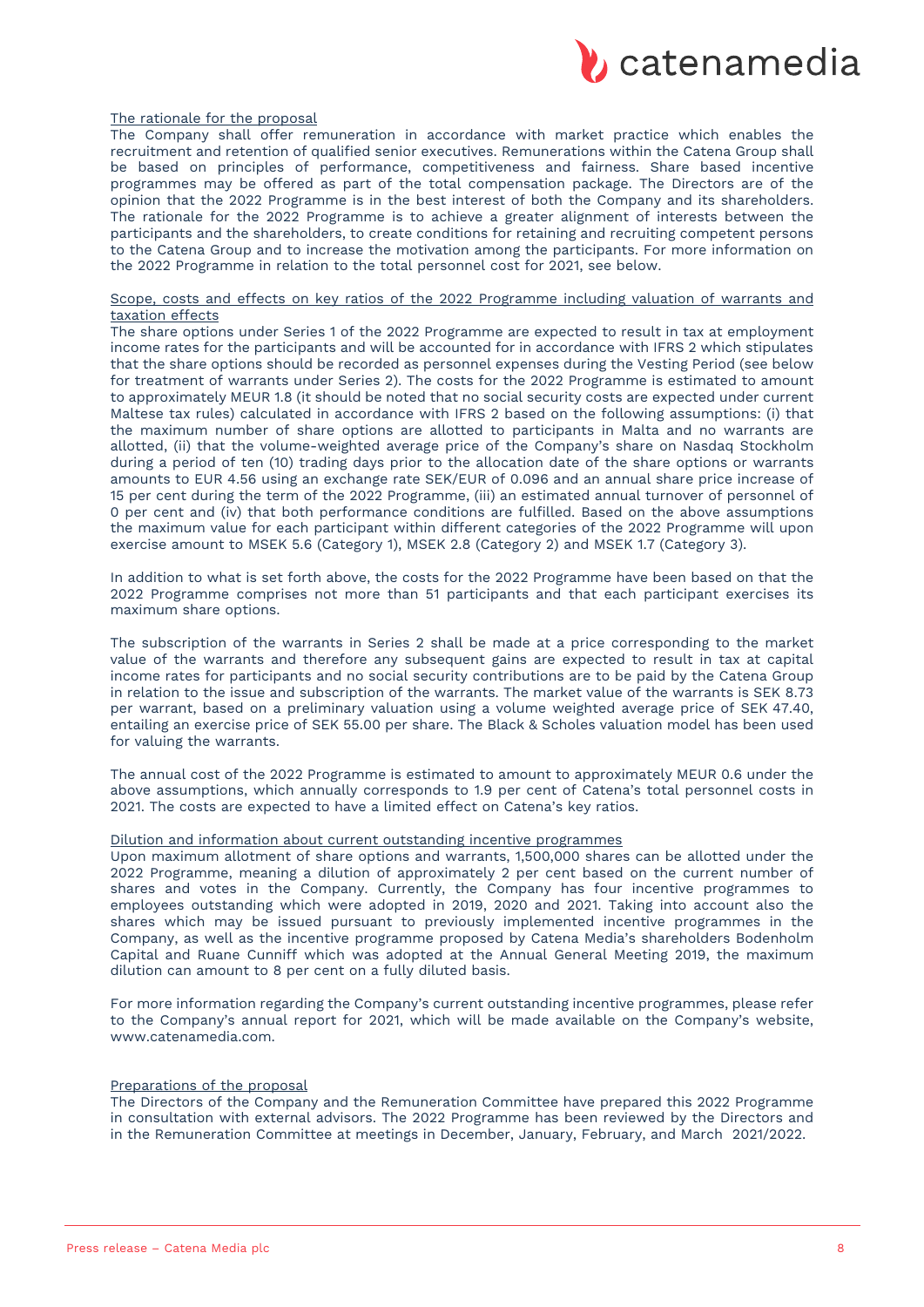

#### The rationale for the proposal

The Company shall offer remuneration in accordance with market practice which enables the recruitment and retention of qualified senior executives. Remunerations within the Catena Group shall be based on principles of performance, competitiveness and fairness. Share based incentive programmes may be offered as part of the total compensation package. The Directors are of the opinion that the 2022 Programme is in the best interest of both the Company and its shareholders. The rationale for the 2022 Programme is to achieve a greater alignment of interests between the participants and the shareholders, to create conditions for retaining and recruiting competent persons to the Catena Group and to increase the motivation among the participants. For more information on the 2022 Programme in relation to the total personnel cost for 2021, see below.

#### Scope, costs and effects on key ratios of the 2022 Programme including valuation of warrants and taxation effects

The share options under Series 1 of the 2022 Programme are expected to result in tax at employment income rates for the participants and will be accounted for in accordance with IFRS 2 which stipulates that the share options should be recorded as personnel expenses during the Vesting Period (see below for treatment of warrants under Series 2). The costs for the 2022 Programme is estimated to amount to approximately MEUR 1.8 (it should be noted that no social security costs are expected under current Maltese tax rules) calculated in accordance with IFRS 2 based on the following assumptions: (i) that the maximum number of share options are allotted to participants in Malta and no warrants are allotted, (ii) that the volume-weighted average price of the Company's share on Nasdaq Stockholm during a period of ten (10) trading days prior to the allocation date of the share options or warrants amounts to EUR 4.56 using an exchange rate SEK/EUR of 0.096 and an annual share price increase of 15 per cent during the term of the 2022 Programme, (iii) an estimated annual turnover of personnel of 0 per cent and (iv) that both performance conditions are fulfilled. Based on the above assumptions the maximum value for each participant within different categories of the 2022 Programme will upon exercise amount to MSEK 5.6 (Category 1), MSEK 2.8 (Category 2) and MSEK 1.7 (Category 3).

In addition to what is set forth above, the costs for the 2022 Programme have been based on that the 2022 Programme comprises not more than 51 participants and that each participant exercises its maximum share options.

The subscription of the warrants in Series 2 shall be made at a price corresponding to the market value of the warrants and therefore any subsequent gains are expected to result in tax at capital income rates for participants and no social security contributions are to be paid by the Catena Group in relation to the issue and subscription of the warrants. The market value of the warrants is SEK 8.73 per warrant, based on a preliminary valuation using a volume weighted average price of SEK 47.40, entailing an exercise price of SEK 55.00 per share. The Black & Scholes valuation model has been used for valuing the warrants.

The annual cost of the 2022 Programme is estimated to amount to approximately MEUR 0.6 under the above assumptions, which annually corresponds to 1.9 per cent of Catena's total personnel costs in 2021. The costs are expected to have a limited effect on Catena's key ratios.

#### Dilution and information about current outstanding incentive programmes

Upon maximum allotment of share options and warrants, 1,500,000 shares can be allotted under the 2022 Programme, meaning a dilution of approximately 2 per cent based on the current number of shares and votes in the Company. Currently, the Company has four incentive programmes to employees outstanding which were adopted in 2019, 2020 and 2021. Taking into account also the shares which may be issued pursuant to previously implemented incentive programmes in the Company, as well as the incentive programme proposed by Catena Media's shareholders Bodenholm Capital and Ruane Cunniff which was adopted at the Annual General Meeting 2019, the maximum dilution can amount to 8 per cent on a fully diluted basis.

For more information regarding the Company's current outstanding incentive programmes, please refer to the Company's annual report for 2021, which will be made available on the Company's website, www.catenamedia.com.

#### Preparations of the proposal

The Directors of the Company and the Remuneration Committee have prepared this 2022 Programme in consultation with external advisors. The 2022 Programme has been reviewed by the Directors and in the Remuneration Committee at meetings in December, January, February, and March 2021/2022.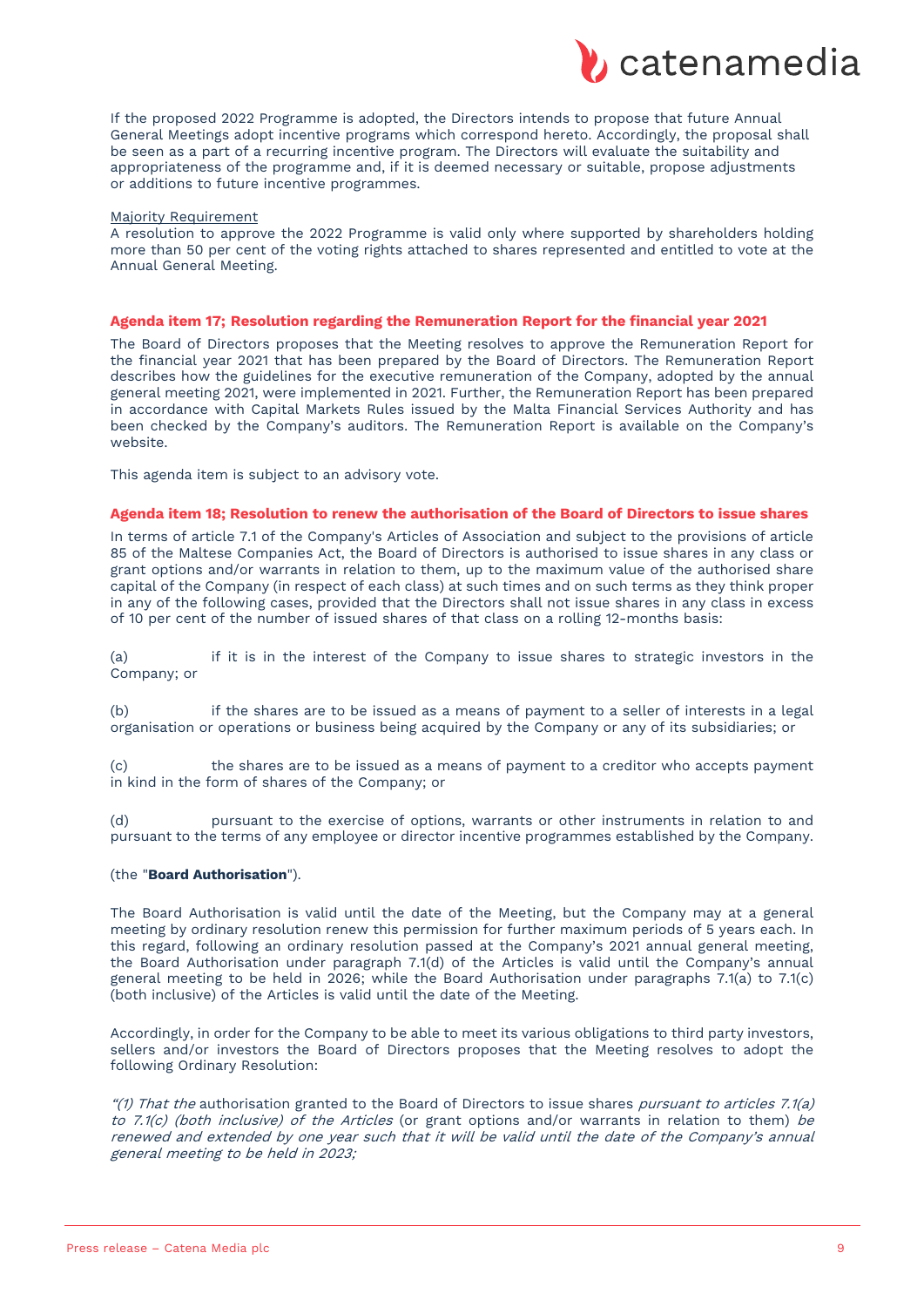

If the proposed 2022 Programme is adopted, the Directors intends to propose that future Annual General Meetings adopt incentive programs which correspond hereto. Accordingly, the proposal shall be seen as a part of a recurring incentive program. The Directors will evaluate the suitability and appropriateness of the programme and, if it is deemed necessary or suitable, propose adjustments or additions to future incentive programmes.

#### Majority Requirement

A resolution to approve the 2022 Programme is valid only where supported by shareholders holding more than 50 per cent of the voting rights attached to shares represented and entitled to vote at the Annual General Meeting.

#### **Agenda item 17; Resolution regarding the Remuneration Report for the financial year 2021**

The Board of Directors proposes that the Meeting resolves to approve the Remuneration Report for the financial year 2021 that has been prepared by the Board of Directors. The Remuneration Report describes how the guidelines for the executive remuneration of the Company, adopted by the annual general meeting 2021, were implemented in 2021. Further, the Remuneration Report has been prepared in accordance with Capital Markets Rules issued by the Malta Financial Services Authority and has been checked by the Company's auditors. The Remuneration Report is available on the Company's website.

This agenda item is subject to an advisory vote.

#### **Agenda item 18; Resolution to renew the authorisation of the Board of Directors to issue shares**

In terms of article 7.1 of the Company's Articles of Association and subject to the provisions of article 85 of the Maltese Companies Act, the Board of Directors is authorised to issue shares in any class or grant options and/or warrants in relation to them, up to the maximum value of the authorised share capital of the Company (in respect of each class) at such times and on such terms as they think proper in any of the following cases, provided that the Directors shall not issue shares in any class in excess of 10 per cent of the number of issued shares of that class on a rolling 12-months basis:

(a) if it is in the interest of the Company to issue shares to strategic investors in the Company; or

(b) if the shares are to be issued as a means of payment to a seller of interests in a legal organisation or operations or business being acquired by the Company or any of its subsidiaries; or

(c) the shares are to be issued as a means of payment to a creditor who accepts payment in kind in the form of shares of the Company; or

(d) pursuant to the exercise of options, warrants or other instruments in relation to and pursuant to the terms of any employee or director incentive programmes established by the Company.

#### (the "**Board Authorisation**").

The Board Authorisation is valid until the date of the Meeting, but the Company may at a general meeting by ordinary resolution renew this permission for further maximum periods of 5 years each. In this regard, following an ordinary resolution passed at the Company's 2021 annual general meeting, the Board Authorisation under paragraph 7.1(d) of the Articles is valid until the Company's annual general meeting to be held in 2026; while the Board Authorisation under paragraphs 7.1(a) to 7.1(c) (both inclusive) of the Articles is valid until the date of the Meeting.

Accordingly, in order for the Company to be able to meet its various obligations to third party investors, sellers and/or investors the Board of Directors proposes that the Meeting resolves to adopt the following Ordinary Resolution:

"(1) That the authorisation granted to the Board of Directors to issue shares pursuant to articles 7.1(a) to 7.1(c) (both inclusive) of the Articles (or grant options and/or warrants in relation to them) be renewed and extended by one year such that it will be valid until the date of the Company's annual general meeting to be held in 2023;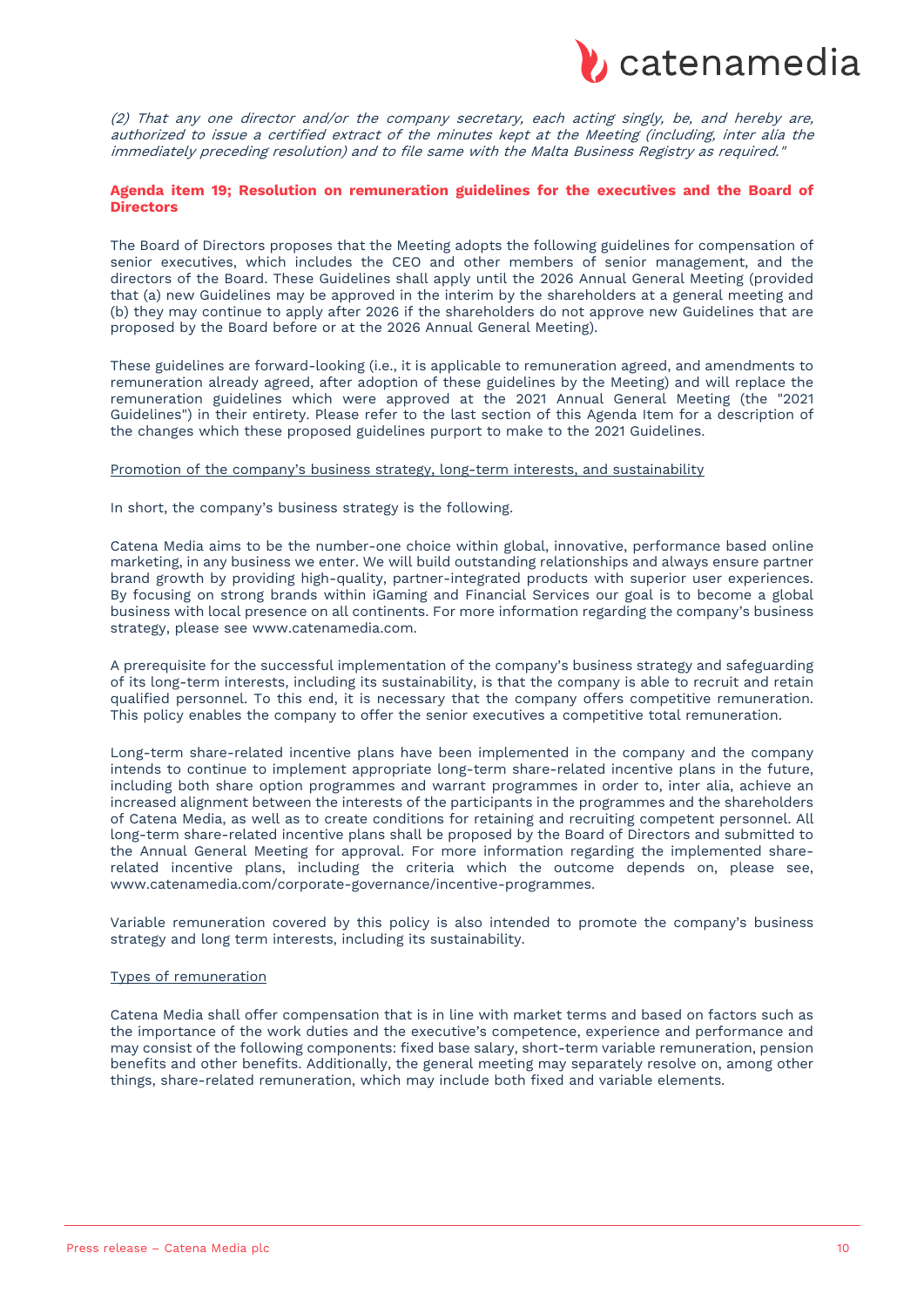

(2) That any one director and/or the company secretary, each acting singly, be, and hereby are, authorized to issue a certified extract of the minutes kept at the Meeting (including, inter alia the immediately preceding resolution) and to file same with the Malta Business Registry as required."

## **Agenda item 19; Resolution on remuneration guidelines for the executives and the Board of Directors**

The Board of Directors proposes that the Meeting adopts the following guidelines for compensation of senior executives, which includes the CEO and other members of senior management, and the directors of the Board. These Guidelines shall apply until the 2026 Annual General Meeting (provided that (a) new Guidelines may be approved in the interim by the shareholders at a general meeting and (b) they may continue to apply after 2026 if the shareholders do not approve new Guidelines that are proposed by the Board before or at the 2026 Annual General Meeting).

These guidelines are forward-looking (i.e., it is applicable to remuneration agreed, and amendments to remuneration already agreed, after adoption of these guidelines by the Meeting) and will replace the remuneration guidelines which were approved at the 2021 Annual General Meeting (the "2021 Guidelines") in their entirety. Please refer to the last section of this Agenda Item for a description of the changes which these proposed guidelines purport to make to the 2021 Guidelines.

#### Promotion of the company's business strategy, long-term interests, and sustainability

In short, the company's business strategy is the following.

Catena Media aims to be the number-one choice within global, innovative, performance based online marketing, in any business we enter. We will build outstanding relationships and always ensure partner brand growth by providing high-quality, partner-integrated products with superior user experiences. By focusing on strong brands within iGaming and Financial Services our goal is to become a global business with local presence on all continents. For more information regarding the company's business strategy, please see www.catenamedia.com.

A prerequisite for the successful implementation of the company's business strategy and safeguarding of its long-term interests, including its sustainability, is that the company is able to recruit and retain qualified personnel. To this end, it is necessary that the company offers competitive remuneration. This policy enables the company to offer the senior executives a competitive total remuneration.

Long-term share-related incentive plans have been implemented in the company and the company intends to continue to implement appropriate long-term share-related incentive plans in the future, including both share option programmes and warrant programmes in order to, inter alia, achieve an increased alignment between the interests of the participants in the programmes and the shareholders of Catena Media, as well as to create conditions for retaining and recruiting competent personnel. All long-term share-related incentive plans shall be proposed by the Board of Directors and submitted to the Annual General Meeting for approval. For more information regarding the implemented sharerelated incentive plans, including the criteria which the outcome depends on, please see, www.catenamedia.com/corporate-governance/incentive-programmes.

Variable remuneration covered by this policy is also intended to promote the company's business strategy and long term interests, including its sustainability.

#### Types of remuneration

Catena Media shall offer compensation that is in line with market terms and based on factors such as the importance of the work duties and the executive's competence, experience and performance and may consist of the following components: fixed base salary, short-term variable remuneration, pension benefits and other benefits. Additionally, the general meeting may separately resolve on, among other things, share-related remuneration, which may include both fixed and variable elements.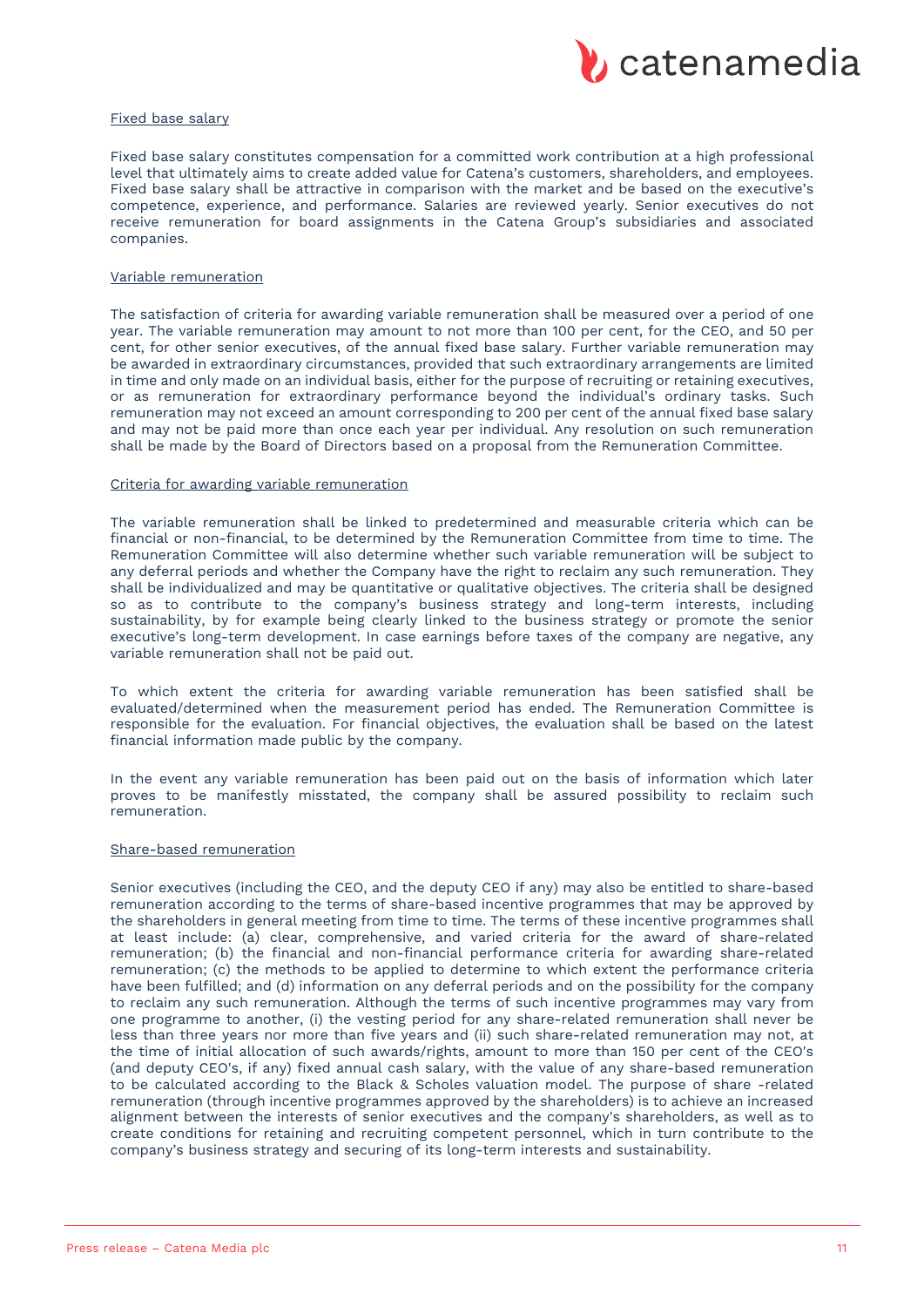

#### Fixed base salary

Fixed base salary constitutes compensation for a committed work contribution at a high professional level that ultimately aims to create added value for Catena's customers, shareholders, and employees. Fixed base salary shall be attractive in comparison with the market and be based on the executive's competence, experience, and performance. Salaries are reviewed yearly. Senior executives do not receive remuneration for board assignments in the Catena Group's subsidiaries and associated companies.

#### Variable remuneration

The satisfaction of criteria for awarding variable remuneration shall be measured over a period of one year. The variable remuneration may amount to not more than 100 per cent, for the CEO, and 50 per cent, for other senior executives, of the annual fixed base salary. Further variable remuneration may be awarded in extraordinary circumstances, provided that such extraordinary arrangements are limited in time and only made on an individual basis, either for the purpose of recruiting or retaining executives, or as remuneration for extraordinary performance beyond the individual's ordinary tasks. Such remuneration may not exceed an amount corresponding to 200 per cent of the annual fixed base salary and may not be paid more than once each year per individual. Any resolution on such remuneration shall be made by the Board of Directors based on a proposal from the Remuneration Committee.

## Criteria for awarding variable remuneration

The variable remuneration shall be linked to predetermined and measurable criteria which can be financial or non-financial, to be determined by the Remuneration Committee from time to time. The Remuneration Committee will also determine whether such variable remuneration will be subject to any deferral periods and whether the Company have the right to reclaim any such remuneration. They shall be individualized and may be quantitative or qualitative objectives. The criteria shall be designed so as to contribute to the company's business strategy and long-term interests, including sustainability, by for example being clearly linked to the business strategy or promote the senior executive's long-term development. In case earnings before taxes of the company are negative, any variable remuneration shall not be paid out.

To which extent the criteria for awarding variable remuneration has been satisfied shall be evaluated/determined when the measurement period has ended. The Remuneration Committee is responsible for the evaluation. For financial objectives, the evaluation shall be based on the latest financial information made public by the company.

In the event any variable remuneration has been paid out on the basis of information which later proves to be manifestly misstated, the company shall be assured possibility to reclaim such remuneration.

#### Share-based remuneration

Senior executives (including the CEO, and the deputy CEO if any) may also be entitled to share-based remuneration according to the terms of share-based incentive programmes that may be approved by the shareholders in general meeting from time to time. The terms of these incentive programmes shall at least include: (a) clear, comprehensive, and varied criteria for the award of share-related remuneration; (b) the financial and non-financial performance criteria for awarding share-related remuneration; (c) the methods to be applied to determine to which extent the performance criteria have been fulfilled; and (d) information on any deferral periods and on the possibility for the company to reclaim any such remuneration. Although the terms of such incentive programmes may vary from one programme to another, (i) the vesting period for any share-related remuneration shall never be less than three years nor more than five years and (ii) such share-related remuneration may not, at the time of initial allocation of such awards/rights, amount to more than 150 per cent of the CEO's (and deputy CEO's, if any) fixed annual cash salary, with the value of any share-based remuneration to be calculated according to the Black & Scholes valuation model. The purpose of share -related remuneration (through incentive programmes approved by the shareholders) is to achieve an increased alignment between the interests of senior executives and the company's shareholders, as well as to create conditions for retaining and recruiting competent personnel, which in turn contribute to the company's business strategy and securing of its long-term interests and sustainability.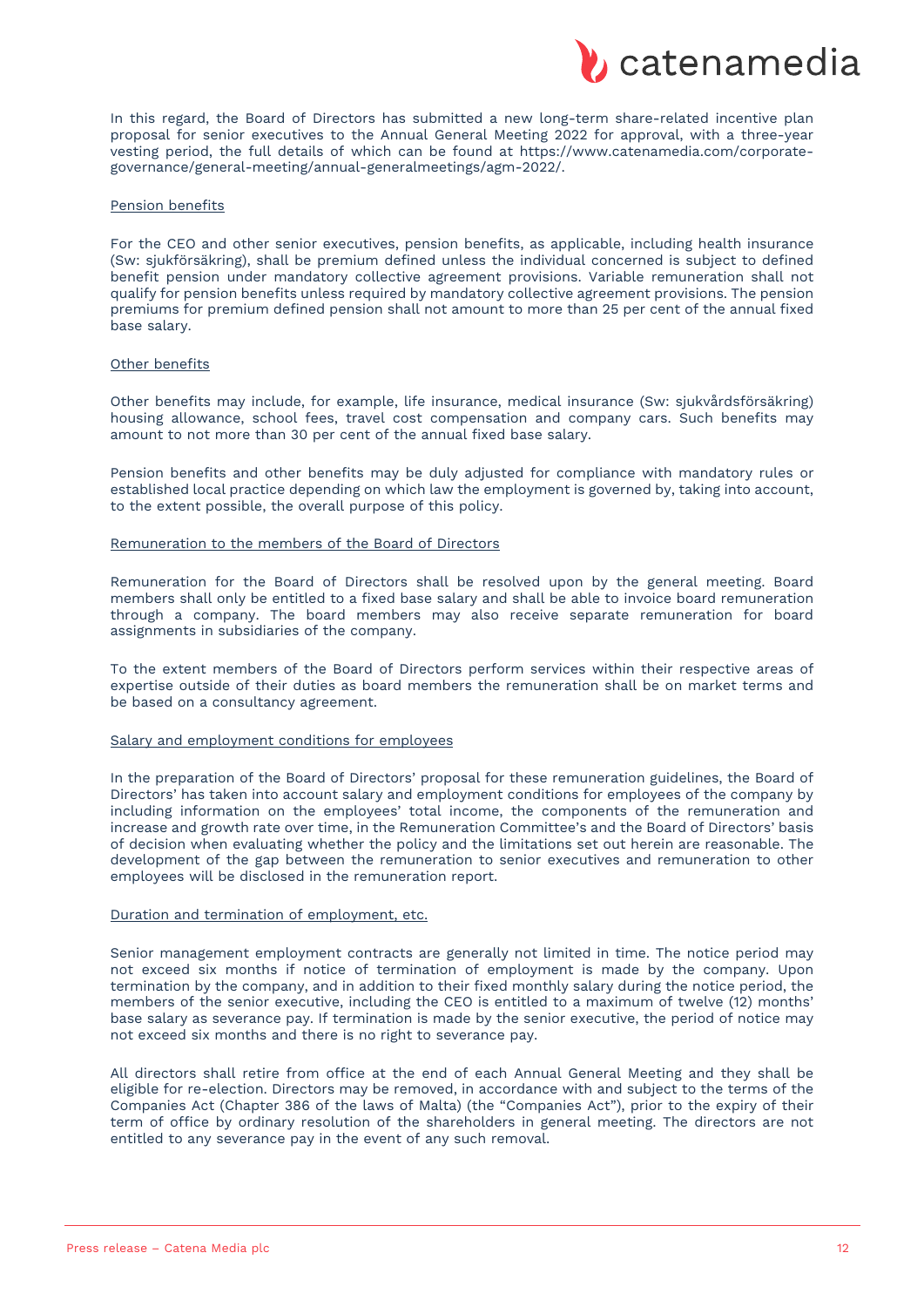

In this regard, the Board of Directors has submitted a new long-term share-related incentive plan proposal for senior executives to the Annual General Meeting 2022 for approval, with a three-year vesting period, the full details of which can be found at https://www.catenamedia.com/corporategovernance/general-meeting/annual-generalmeetings/agm-2022/.

#### Pension benefits

For the CEO and other senior executives, pension benefits, as applicable, including health insurance (Sw: sjukförsäkring), shall be premium defined unless the individual concerned is subject to defined benefit pension under mandatory collective agreement provisions. Variable remuneration shall not qualify for pension benefits unless required by mandatory collective agreement provisions. The pension premiums for premium defined pension shall not amount to more than 25 per cent of the annual fixed base salary.

## Other benefits

Other benefits may include, for example, life insurance, medical insurance (Sw: sjukvårdsförsäkring) housing allowance, school fees, travel cost compensation and company cars. Such benefits may amount to not more than 30 per cent of the annual fixed base salary.

Pension benefits and other benefits may be duly adjusted for compliance with mandatory rules or established local practice depending on which law the employment is governed by, taking into account, to the extent possible, the overall purpose of this policy.

#### Remuneration to the members of the Board of Directors

Remuneration for the Board of Directors shall be resolved upon by the general meeting. Board members shall only be entitled to a fixed base salary and shall be able to invoice board remuneration through a company. The board members may also receive separate remuneration for board assignments in subsidiaries of the company.

To the extent members of the Board of Directors perform services within their respective areas of expertise outside of their duties as board members the remuneration shall be on market terms and be based on a consultancy agreement.

## Salary and employment conditions for employees

In the preparation of the Board of Directors' proposal for these remuneration guidelines, the Board of Directors' has taken into account salary and employment conditions for employees of the company by including information on the employees' total income, the components of the remuneration and increase and growth rate over time, in the Remuneration Committee's and the Board of Directors' basis of decision when evaluating whether the policy and the limitations set out herein are reasonable. The development of the gap between the remuneration to senior executives and remuneration to other employees will be disclosed in the remuneration report.

## Duration and termination of employment, etc.

Senior management employment contracts are generally not limited in time. The notice period may not exceed six months if notice of termination of employment is made by the company. Upon termination by the company, and in addition to their fixed monthly salary during the notice period, the members of the senior executive, including the CEO is entitled to a maximum of twelve (12) months' base salary as severance pay. If termination is made by the senior executive, the period of notice may not exceed six months and there is no right to severance pay.

All directors shall retire from office at the end of each Annual General Meeting and they shall be eligible for re-election. Directors may be removed, in accordance with and subject to the terms of the Companies Act (Chapter 386 of the laws of Malta) (the "Companies Act"), prior to the expiry of their term of office by ordinary resolution of the shareholders in general meeting. The directors are not entitled to any severance pay in the event of any such removal.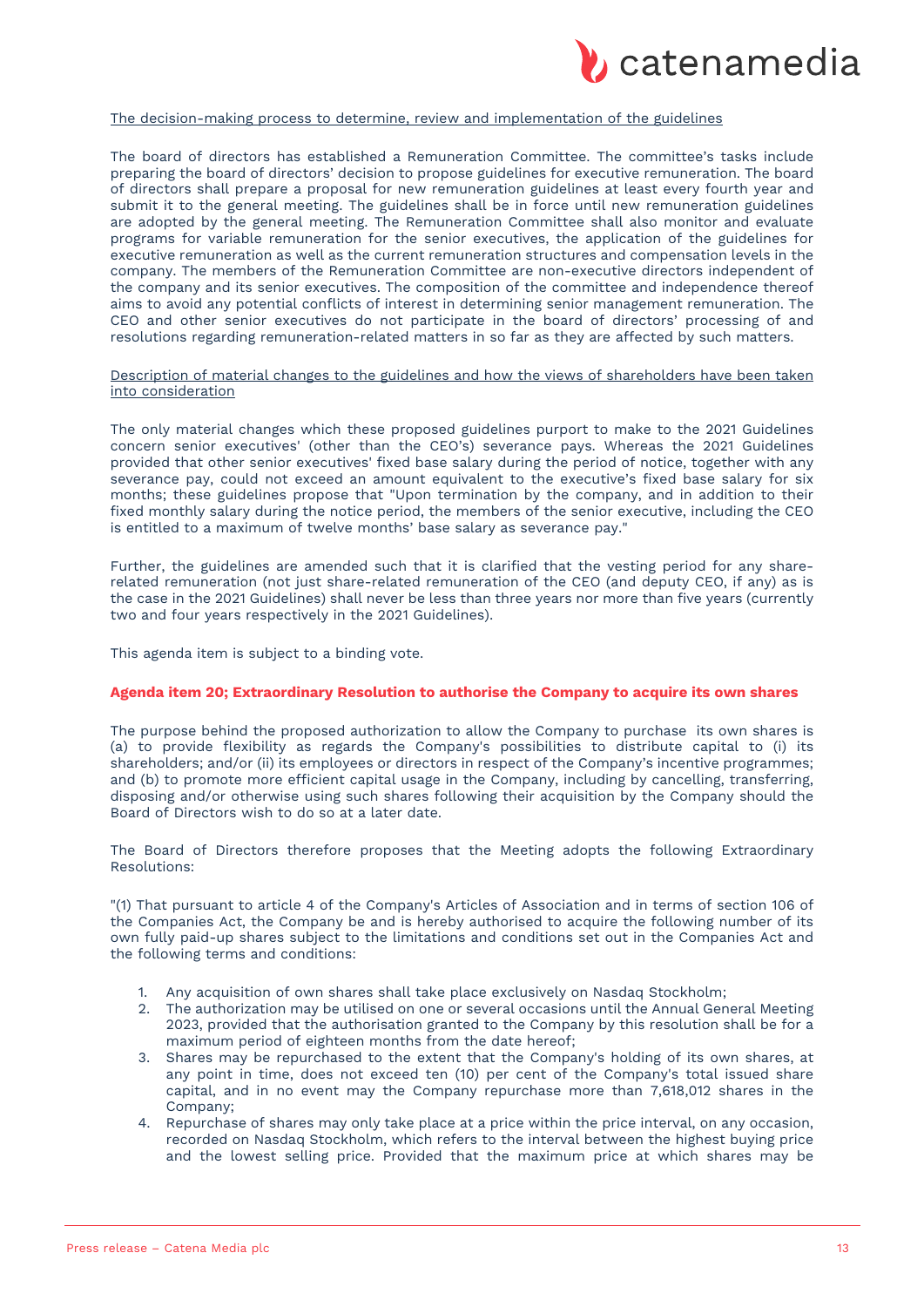

## The decision-making process to determine, review and implementation of the guidelines

The board of directors has established a Remuneration Committee. The committee's tasks include preparing the board of directors' decision to propose guidelines for executive remuneration. The board of directors shall prepare a proposal for new remuneration guidelines at least every fourth year and submit it to the general meeting. The guidelines shall be in force until new remuneration guidelines are adopted by the general meeting. The Remuneration Committee shall also monitor and evaluate programs for variable remuneration for the senior executives, the application of the guidelines for executive remuneration as well as the current remuneration structures and compensation levels in the company. The members of the Remuneration Committee are non-executive directors independent of the company and its senior executives. The composition of the committee and independence thereof aims to avoid any potential conflicts of interest in determining senior management remuneration. The CEO and other senior executives do not participate in the board of directors' processing of and resolutions regarding remuneration-related matters in so far as they are affected by such matters.

#### Description of material changes to the guidelines and how the views of shareholders have been taken into consideration

The only material changes which these proposed guidelines purport to make to the 2021 Guidelines concern senior executives' (other than the CEO's) severance pays. Whereas the 2021 Guidelines provided that other senior executives' fixed base salary during the period of notice, together with any severance pay, could not exceed an amount equivalent to the executive's fixed base salary for six months; these guidelines propose that "Upon termination by the company, and in addition to their fixed monthly salary during the notice period, the members of the senior executive, including the CEO is entitled to a maximum of twelve months' base salary as severance pay."

Further, the guidelines are amended such that it is clarified that the vesting period for any sharerelated remuneration (not just share-related remuneration of the CEO (and deputy CEO, if any) as is the case in the 2021 Guidelines) shall never be less than three years nor more than five years (currently two and four years respectively in the 2021 Guidelines).

This agenda item is subject to a binding vote.

#### **Agenda item 20; Extraordinary Resolution to authorise the Company to acquire its own shares**

The purpose behind the proposed authorization to allow the Company to purchase its own shares is (a) to provide flexibility as regards the Company's possibilities to distribute capital to (i) its shareholders; and/or (ii) its employees or directors in respect of the Company's incentive programmes; and (b) to promote more efficient capital usage in the Company, including by cancelling, transferring, disposing and/or otherwise using such shares following their acquisition by the Company should the Board of Directors wish to do so at a later date.

The Board of Directors therefore proposes that the Meeting adopts the following Extraordinary Resolutions:

"(1) That pursuant to article 4 of the Company's Articles of Association and in terms of section 106 of the Companies Act, the Company be and is hereby authorised to acquire the following number of its own fully paid-up shares subject to the limitations and conditions set out in the Companies Act and the following terms and conditions:

- 1. Any acquisition of own shares shall take place exclusively on Nasdaq Stockholm;
- 2. The authorization may be utilised on one or several occasions until the Annual General Meeting 2023, provided that the authorisation granted to the Company by this resolution shall be for a maximum period of eighteen months from the date hereof;
- 3. Shares may be repurchased to the extent that the Company's holding of its own shares, at any point in time, does not exceed ten (10) per cent of the Company's total issued share capital, and in no event may the Company repurchase more than 7,618,012 shares in the Company;
- 4. Repurchase of shares may only take place at a price within the price interval, on any occasion, recorded on Nasdaq Stockholm, which refers to the interval between the highest buying price and the lowest selling price. Provided that the maximum price at which shares may be